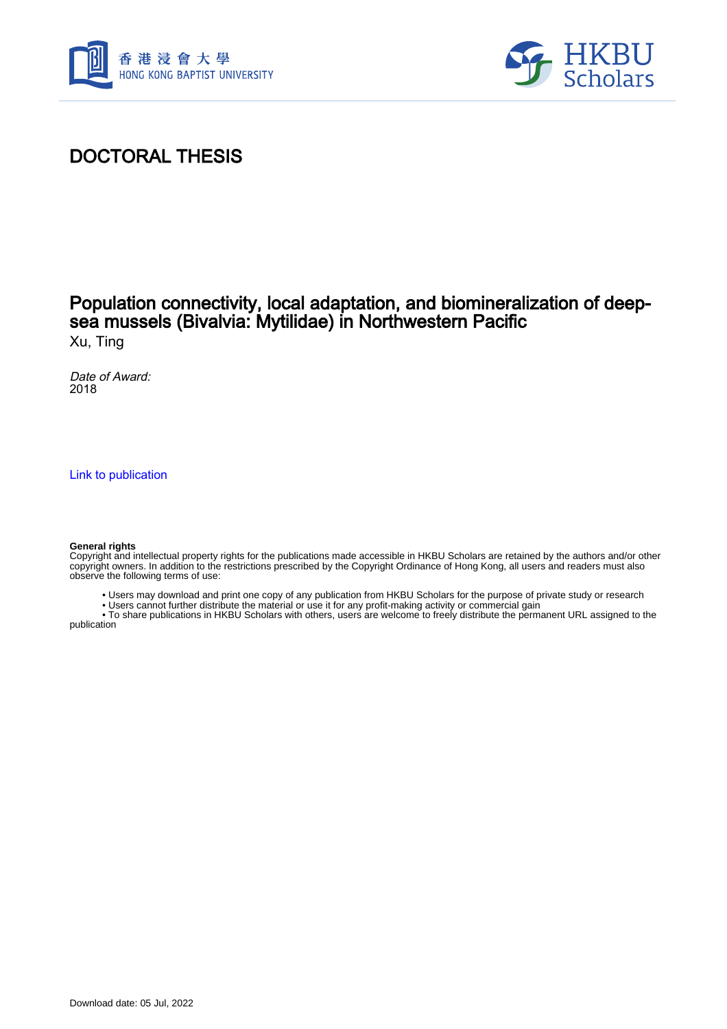



## DOCTORAL THESIS

# Population connectivity, local adaptation, and biomineralization of deepsea mussels (Bivalvia: Mytilidae) in Northwestern Pacific

Xu, Ting

Date of Award: 2018

[Link to publication](https://scholars.hkbu.edu.hk/en/studentTheses/dbe3c816-eb3a-40e3-8875-a4819a0cd271)

#### **General rights**

Copyright and intellectual property rights for the publications made accessible in HKBU Scholars are retained by the authors and/or other copyright owners. In addition to the restrictions prescribed by the Copyright Ordinance of Hong Kong, all users and readers must also observe the following terms of use:

- Users may download and print one copy of any publication from HKBU Scholars for the purpose of private study or research
- Users cannot further distribute the material or use it for any profit-making activity or commercial gain

 • To share publications in HKBU Scholars with others, users are welcome to freely distribute the permanent URL assigned to the publication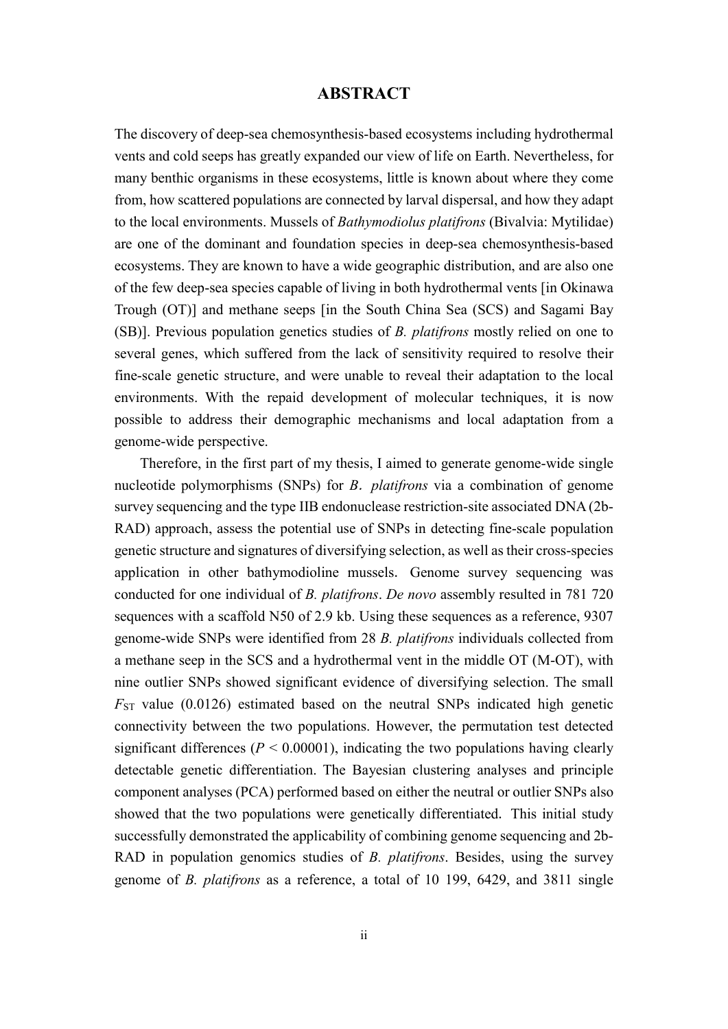### **ABSTRACT**

The discovery of deep-sea chemosynthesis-based ecosystems including hydrothermal vents and cold seeps has greatly expanded our view of life on Earth. Nevertheless, for many benthic organisms in these ecosystems, little is known about where they come from, how scattered populations are connected by larval dispersal, and how they adapt to the local environments. Mussels of *Bathymodiolus platifrons* (Bivalvia: Mytilidae) are one of the dominant and foundation species in deep-sea chemosynthesis-based ecosystems. They are known to have a wide geographic distribution, and are also one of the few deep-sea species capable of living in both hydrothermal vents [in Okinawa Trough (OT)] and methane seeps [in the South China Sea (SCS) and Sagami Bay (SB)]. Previous population genetics studies of *B. platifrons* mostly relied on one to several genes, which suffered from the lack of sensitivity required to resolve their fine-scale genetic structure, and were unable to reveal their adaptation to the local environments. With the repaid development of molecular techniques, it is now possible to address their demographic mechanisms and local adaptation from a genome-wide perspective.

Therefore, in the first part of my thesis, I aimed to generate genome-wide single nucleotide polymorphisms (SNPs) for *B*. *platifrons* via a combination of genome survey sequencing and the type IIB endonuclease restriction-site associated DNA (2b-RAD) approach, assess the potential use of SNPs in detecting fine-scale population genetic structure and signatures of diversifying selection, as well as their cross-species application in other bathymodioline mussels. Genome survey sequencing was conducted for one individual of *B. platifrons*. *De novo* assembly resulted in 781 720 sequences with a scaffold N50 of 2.9 kb. Using these sequences as a reference, 9307 genome-wide SNPs were identified from 28 *B. platifrons* individuals collected from a methane seep in the SCS and a hydrothermal vent in the middle OT (M-OT), with nine outlier SNPs showed significant evidence of diversifying selection. The small  $F_{ST}$  value (0.0126) estimated based on the neutral SNPs indicated high genetic connectivity between the two populations. However, the permutation test detected significant differences ( $P < 0.00001$ ), indicating the two populations having clearly detectable genetic differentiation. The Bayesian clustering analyses and principle component analyses (PCA) performed based on either the neutral or outlier SNPs also showed that the two populations were genetically differentiated. This initial study successfully demonstrated the applicability of combining genome sequencing and 2b-RAD in population genomics studies of *B. platifrons*. Besides, using the survey genome of *B. platifrons* as a reference, a total of 10 199, 6429, and 3811 single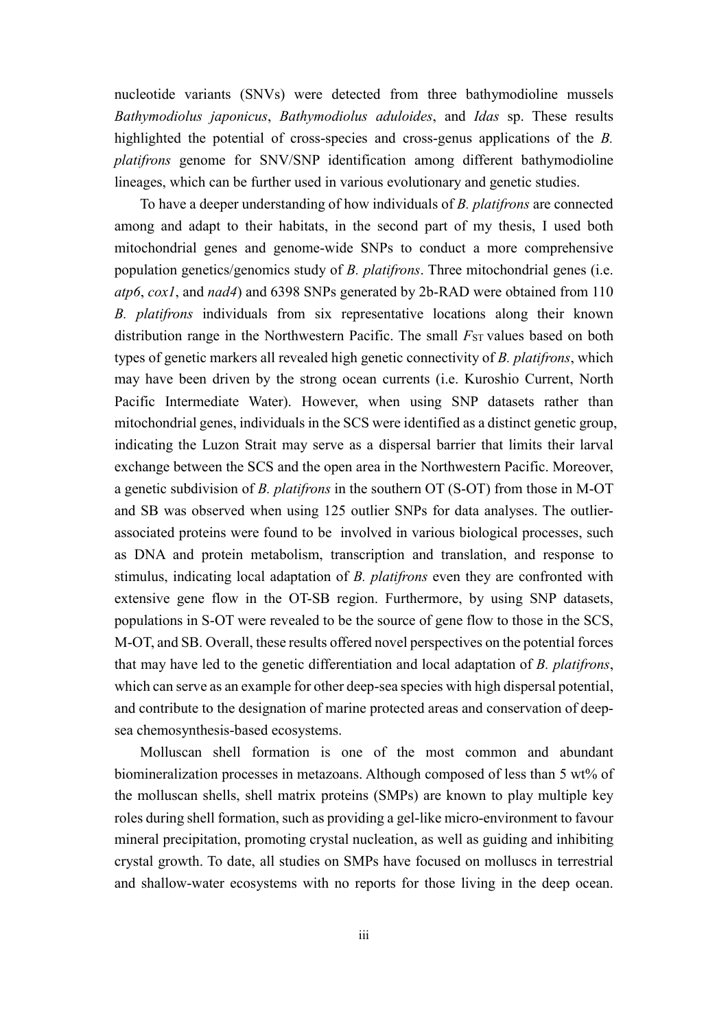nucleotide variants (SNVs) were detected from three bathymodioline mussels *Bathymodiolus japonicus*, *Bathymodiolus aduloides*, and *Idas* sp. These results highlighted the potential of cross-species and cross-genus applications of the *B. platifrons* genome for SNV/SNP identification among different bathymodioline lineages, which can be further used in various evolutionary and genetic studies.

To have a deeper understanding of how individuals of *B. platifrons* are connected among and adapt to their habitats, in the second part of my thesis, I used both mitochondrial genes and genome-wide SNPs to conduct a more comprehensive population genetics/genomics study of *B. platifrons*. Three mitochondrial genes (i.e. *atp6*, *cox1*, and *nad4*) and 6398 SNPs generated by 2b-RAD were obtained from 110 *B. platifrons* individuals from six representative locations along their known distribution range in the Northwestern Pacific. The small  $F_{ST}$  values based on both types of genetic markers all revealed high genetic connectivity of *B. platifrons*, which may have been driven by the strong ocean currents (i.e. Kuroshio Current, North Pacific Intermediate Water). However, when using SNP datasets rather than mitochondrial genes, individuals in the SCS were identified as a distinct genetic group, indicating the Luzon Strait may serve as a dispersal barrier that limits their larval exchange between the SCS and the open area in the Northwestern Pacific. Moreover, a genetic subdivision of *B. platifrons* in the southern OT (S-OT) from those in M-OT and SB was observed when using 125 outlier SNPs for data analyses. The outlierassociated proteins were found to be involved in various biological processes, such as DNA and protein metabolism, transcription and translation, and response to stimulus, indicating local adaptation of *B. platifrons* even they are confronted with extensive gene flow in the OT-SB region. Furthermore, by using SNP datasets, populations in S-OT were revealed to be the source of gene flow to those in the SCS, M-OT, and SB. Overall, these results offered novel perspectives on the potential forces that may have led to the genetic differentiation and local adaptation of *B. platifrons*, which can serve as an example for other deep-sea species with high dispersal potential, and contribute to the designation of marine protected areas and conservation of deepsea chemosynthesis-based ecosystems.

Molluscan shell formation is one of the most common and abundant biomineralization processes in metazoans. Although composed of less than 5 wt% of the molluscan shells, shell matrix proteins (SMPs) are known to play multiple key roles during shell formation, such as providing a gel-like micro-environment to favour mineral precipitation, promoting crystal nucleation, as well as guiding and inhibiting crystal growth. To date, all studies on SMPs have focused on molluscs in terrestrial and shallow-water ecosystems with no reports for those living in the deep ocean.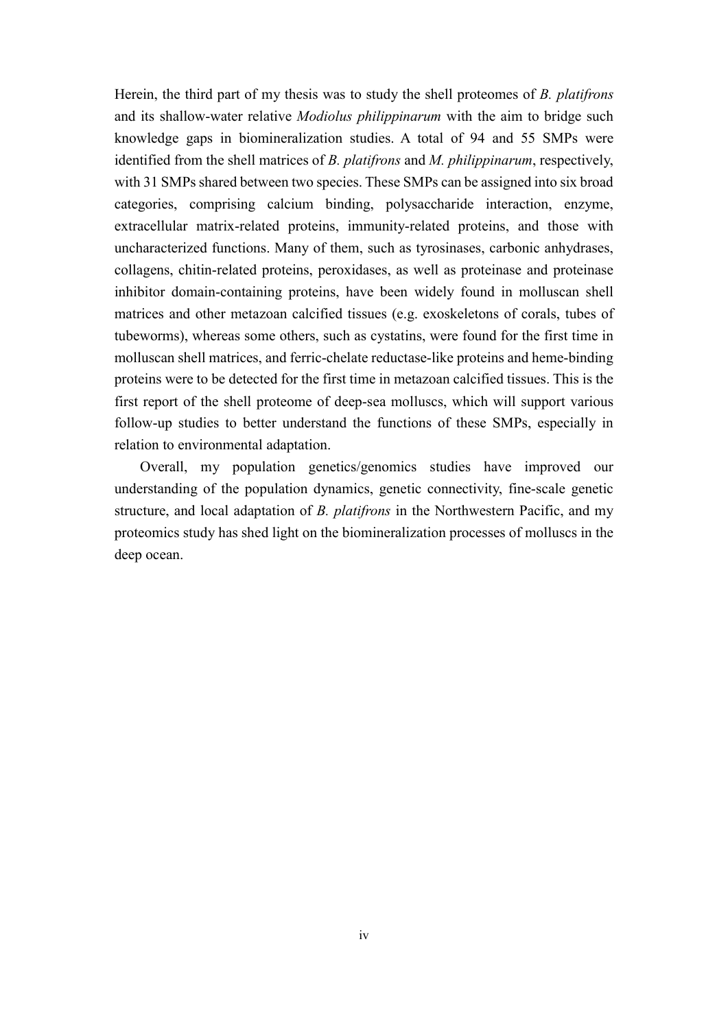Herein, the third part of my thesis was to study the shell proteomes of *B. platifrons* and its shallow-water relative *Modiolus philippinarum* with the aim to bridge such knowledge gaps in biomineralization studies. A total of 94 and 55 SMPs were identified from the shell matrices of *B. platifrons* and *M. philippinarum*, respectively, with 31 SMPs shared between two species. These SMPs can be assigned into six broad categories, comprising calcium binding, polysaccharide interaction, enzyme, extracellular matrix-related proteins, immunity-related proteins, and those with uncharacterized functions. Many of them, such as tyrosinases, carbonic anhydrases, collagens, chitin-related proteins, peroxidases, as well as proteinase and proteinase inhibitor domain-containing proteins, have been widely found in molluscan shell matrices and other metazoan calcified tissues (e.g. exoskeletons of corals, tubes of tubeworms), whereas some others, such as cystatins, were found for the first time in molluscan shell matrices, and ferric-chelate reductase-like proteins and heme-binding proteins were to be detected for the first time in metazoan calcified tissues. This is the first report of the shell proteome of deep-sea molluscs, which will support various follow-up studies to better understand the functions of these SMPs, especially in relation to environmental adaptation.

Overall, my population genetics/genomics studies have improved our understanding of the population dynamics, genetic connectivity, fine-scale genetic structure, and local adaptation of *B. platifrons* in the Northwestern Pacific, and my proteomics study has shed light on the biomineralization processes of molluscs in the deep ocean.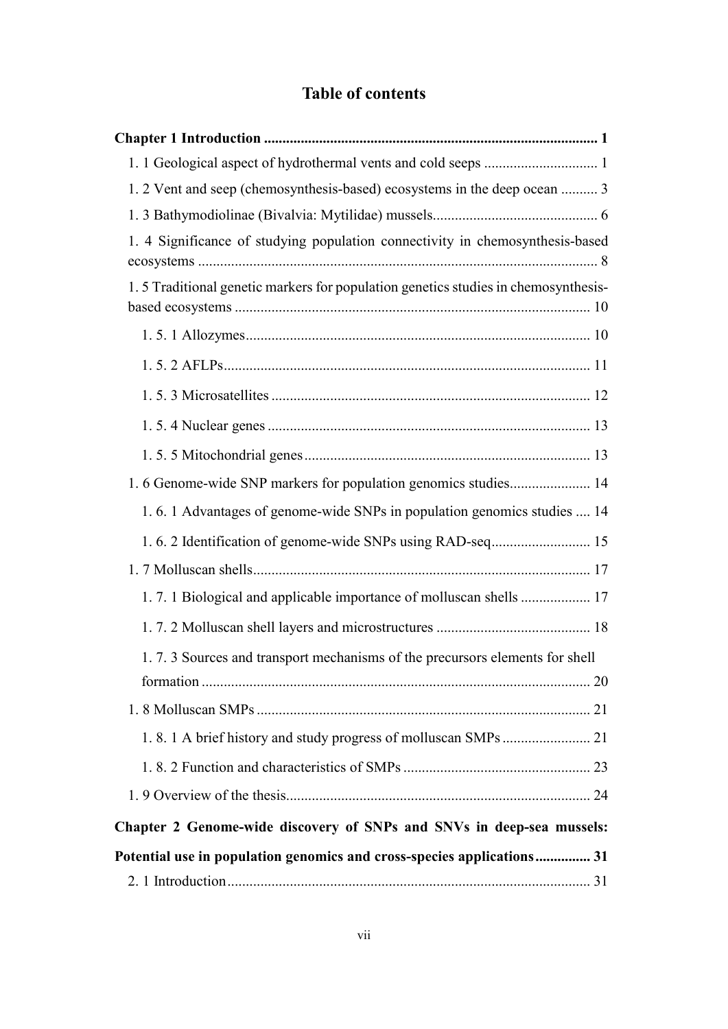### **Table of contents**

| 1. 2 Vent and seep (chemosynthesis-based) ecosystems in the deep ocean  3          |
|------------------------------------------------------------------------------------|
|                                                                                    |
| 1. 4 Significance of studying population connectivity in chemosynthesis-based      |
| 1.5 Traditional genetic markers for population genetics studies in chemosynthesis- |
|                                                                                    |
|                                                                                    |
|                                                                                    |
|                                                                                    |
|                                                                                    |
| 1. 6 Genome-wide SNP markers for population genomics studies 14                    |
| 1.6.1 Advantages of genome-wide SNPs in population genomics studies  14            |
| 1.6.2 Identification of genome-wide SNPs using RAD-seq 15                          |
|                                                                                    |
| 1.7.1 Biological and applicable importance of molluscan shells  17                 |
|                                                                                    |
| 1.7.3 Sources and transport mechanisms of the precursors elements for shell        |
|                                                                                    |
|                                                                                    |
|                                                                                    |
|                                                                                    |
|                                                                                    |
| Chapter 2 Genome-wide discovery of SNPs and SNVs in deep-sea mussels:              |
| Potential use in population genomics and cross-species applications 31             |
|                                                                                    |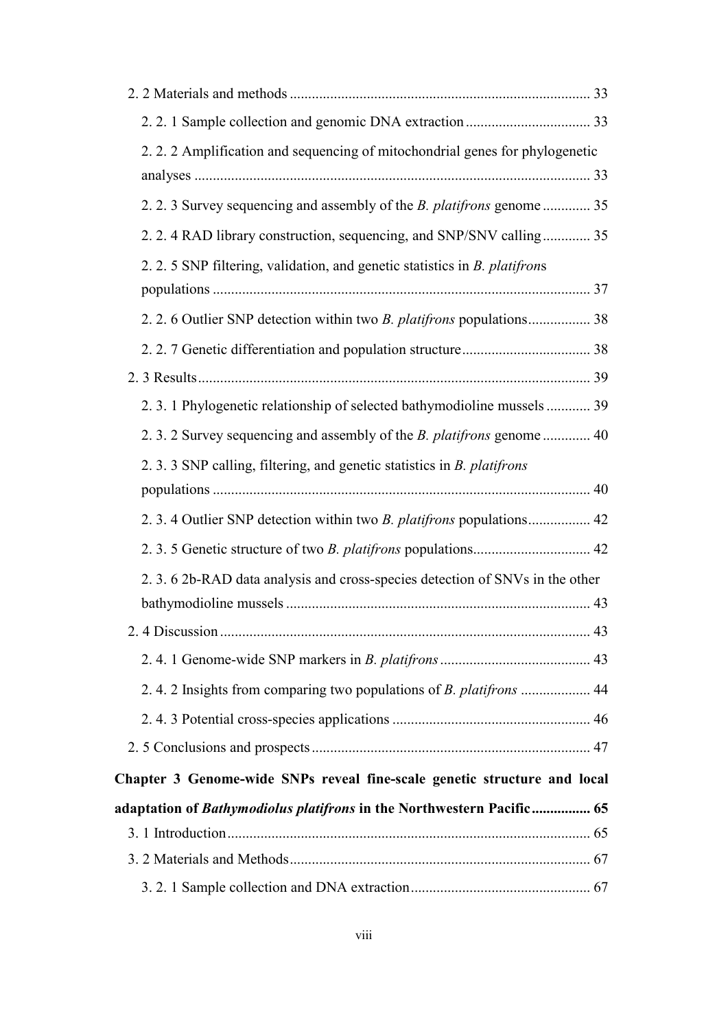| 2.2.2 Amplification and sequencing of mitochondrial genes for phylogenetic      |  |
|---------------------------------------------------------------------------------|--|
| 2. 2. 3 Survey sequencing and assembly of the <i>B. platifrons</i> genome  35   |  |
| 2. 2. 4 RAD library construction, sequencing, and SNP/SNV calling 35            |  |
| 2.2.5 SNP filtering, validation, and genetic statistics in <i>B. platifrons</i> |  |
|                                                                                 |  |
| 2. 2. 6 Outlier SNP detection within two <i>B. platifrons</i> populations 38    |  |
|                                                                                 |  |
|                                                                                 |  |
| 2. 3. 1 Phylogenetic relationship of selected bathymodioline mussels  39        |  |
| 2. 3. 2 Survey sequencing and assembly of the <i>B. platifrons</i> genome  40   |  |
| 2. 3. 3 SNP calling, filtering, and genetic statistics in <i>B. platifrons</i>  |  |
|                                                                                 |  |
| 2. 3. 4 Outlier SNP detection within two <i>B. platifrons</i> populations 42    |  |
|                                                                                 |  |
| 2. 3. 6 2b-RAD data analysis and cross-species detection of SNVs in the other   |  |
|                                                                                 |  |
|                                                                                 |  |
|                                                                                 |  |
| 2.4.2 Insights from comparing two populations of <i>B. platifrons</i> 44        |  |
|                                                                                 |  |
|                                                                                 |  |
| Chapter 3 Genome-wide SNPs reveal fine-scale genetic structure and local        |  |
| adaptation of Bathymodiolus platifrons in the Northwestern Pacific 65           |  |
|                                                                                 |  |
|                                                                                 |  |
|                                                                                 |  |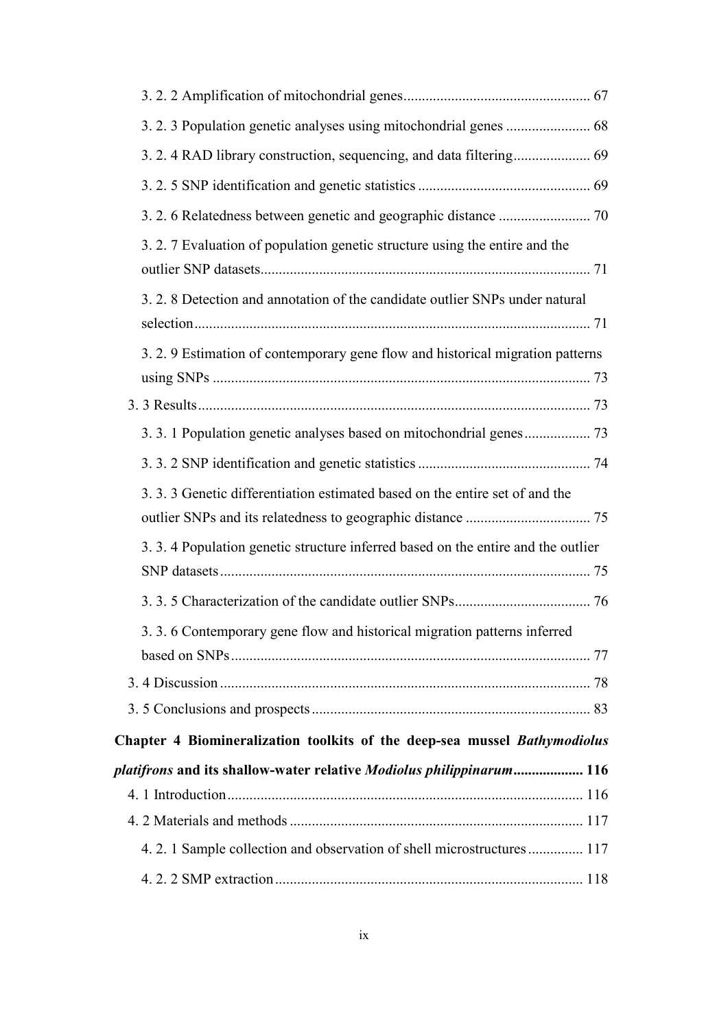| 3.2.3 Population genetic analyses using mitochondrial genes  68                   |  |
|-----------------------------------------------------------------------------------|--|
| 3.2.4 RAD library construction, sequencing, and data filtering 69                 |  |
|                                                                                   |  |
|                                                                                   |  |
| 3.2.7 Evaluation of population genetic structure using the entire and the         |  |
| 3. 2. 8 Detection and annotation of the candidate outlier SNPs under natural      |  |
| 3.2.9 Estimation of contemporary gene flow and historical migration patterns      |  |
|                                                                                   |  |
|                                                                                   |  |
| 3. 3. 1 Population genetic analyses based on mitochondrial genes 73               |  |
|                                                                                   |  |
| 3. 3. 3 Genetic differentiation estimated based on the entire set of and the      |  |
|                                                                                   |  |
| 3. 3. 4 Population genetic structure inferred based on the entire and the outlier |  |
|                                                                                   |  |
|                                                                                   |  |
| 3. 3. 6 Contemporary gene flow and historical migration patterns inferred         |  |
|                                                                                   |  |
|                                                                                   |  |
|                                                                                   |  |
| Chapter 4 Biomineralization toolkits of the deep-sea mussel Bathymodiolus         |  |
| platifrons and its shallow-water relative Modiolus philippinarum 116              |  |
|                                                                                   |  |
|                                                                                   |  |
| 4.2.1 Sample collection and observation of shell microstructures 117              |  |
|                                                                                   |  |